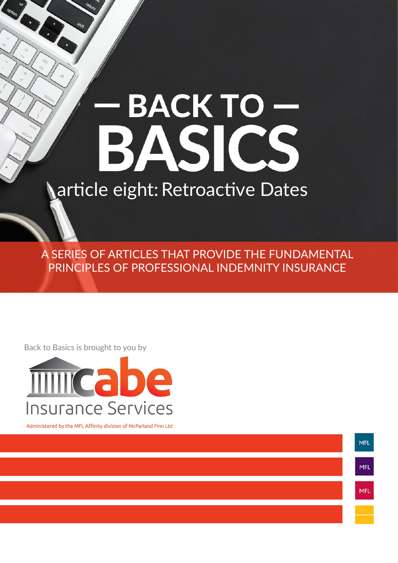# BACKTO-<br>BASICS article eight: Retroactive Dates

A SERIES OF ARTICLES THAT PROVIDE THE FUNDAMENTAL PRINCIPLES OF PROFESSIONAL INDEMNITY INSURANCE

Back to Basics is brought to you by

**Contract Contract Contract Contract Contract Contract Contract Contract Contract Contract Contract Contract Contract Contract Contract Contract Contract Contract Contract Contract Contract Contract Contract Contract Contr** 



Administered by the MFL Affinity division of McParland Finn Ltd

**MFL** MFL MFL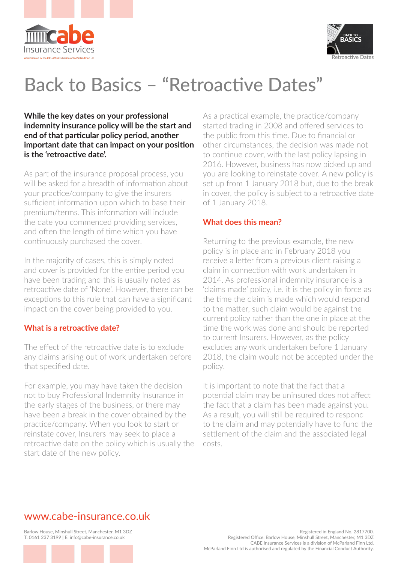



# Back to Basics – "Retroactive Dates"

**While the key dates on your professional indemnity insurance policy will be the start and end of that particular policy period, another important date that can impact on your position is the 'retroactive date'.**

As part of the insurance proposal process, you will be asked for a breadth of information about your practice/company to give the insurers sufficient information upon which to base their premium/terms. This information will include the date you commenced providing services, and often the length of time which you have continuously purchased the cover.

In the majority of cases, this is simply noted and cover is provided for the entire period you have been trading and this is usually noted as retroactive date of 'None'. However, there can be exceptions to this rule that can have a significant impact on the cover being provided to you.

## **What is a retroactive date?**

The effect of the retroactive date is to exclude any claims arising out of work undertaken before that specified date.

For example, you may have taken the decision not to buy Professional Indemnity Insurance in the early stages of the business, or there may have been a break in the cover obtained by the practice/company. When you look to start or reinstate cover, Insurers may seek to place a retroactive date on the policy which is usually the start date of the new policy.

As a practical example, the practice/company started trading in 2008 and offered services to the public from this time. Due to financial or other circumstances, the decision was made not to continue cover, with the last policy lapsing in 2016. However, business has now picked up and you are looking to reinstate cover. A new policy is set up from 1 January 2018 but, due to the break in cover, the policy is subject to a retroactive date of 1 January 2018.

## **What does this mean?**

Returning to the previous example, the new policy is in place and in February 2018 you receive a letter from a previous client raising a claim in connection with work undertaken in 2014. As professional indemnity insurance is a 'claims made' policy, i.e. it is the policy in force as the time the claim is made which would respond to the matter, such claim would be against the current policy rather than the one in place at the time the work was done and should be reported to current Insurers. However, as the policy excludes any work undertaken before 1 January 2018, the claim would not be accepted under the policy.

It is important to note that the fact that a potential claim may be uninsured does not affect the fact that a claim has been made against you. As a result, you will still be required to respond to the claim and may potentially have to fund the settlement of the claim and the associated legal costs.

# www.cabe-insurance.co.uk

Barlow House, Minshull Street, Manchester, M1 3DZ T: 0161 237 3199 | E: info@cabe-insurance.co.uk